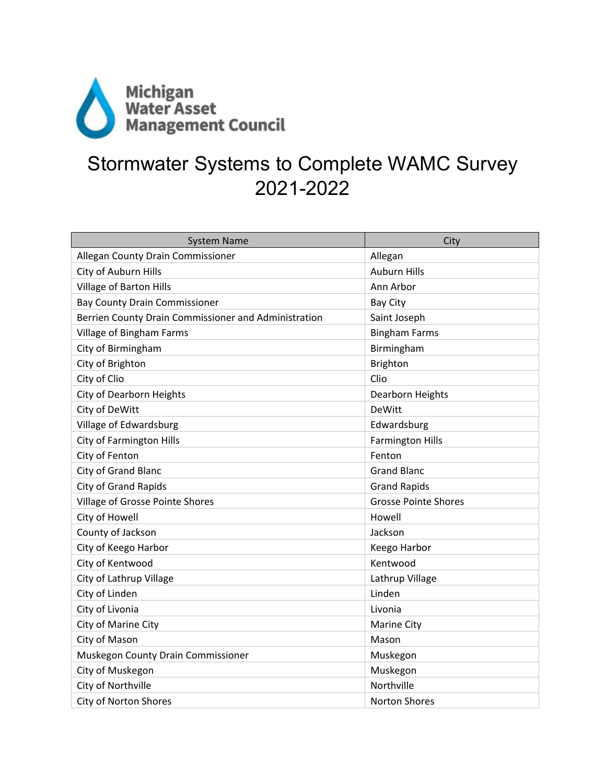

## Stormwater Systems to Complete WAMC Survey 2021-2022

| <b>System Name</b>                                   | City                        |
|------------------------------------------------------|-----------------------------|
| Allegan County Drain Commissioner                    | Allegan                     |
| City of Auburn Hills                                 | <b>Auburn Hills</b>         |
| Village of Barton Hills                              | Ann Arbor                   |
| <b>Bay County Drain Commissioner</b>                 | <b>Bay City</b>             |
| Berrien County Drain Commissioner and Administration | Saint Joseph                |
| Village of Bingham Farms                             | <b>Bingham Farms</b>        |
| City of Birmingham                                   | Birmingham                  |
| City of Brighton                                     | <b>Brighton</b>             |
| City of Clio                                         | Clio                        |
| City of Dearborn Heights                             | Dearborn Heights            |
| City of DeWitt                                       | <b>DeWitt</b>               |
| Village of Edwardsburg                               | Edwardsburg                 |
| City of Farmington Hills                             | <b>Farmington Hills</b>     |
| City of Fenton                                       | Fenton                      |
| City of Grand Blanc                                  | <b>Grand Blanc</b>          |
| <b>City of Grand Rapids</b>                          | <b>Grand Rapids</b>         |
| Village of Grosse Pointe Shores                      | <b>Grosse Pointe Shores</b> |
| City of Howell                                       | Howell                      |
| County of Jackson                                    | Jackson                     |
| City of Keego Harbor                                 | Keego Harbor                |
| City of Kentwood                                     | Kentwood                    |
| City of Lathrup Village                              | Lathrup Village             |
| City of Linden                                       | Linden                      |
| City of Livonia                                      | Livonia                     |
| City of Marine City                                  | <b>Marine City</b>          |
| City of Mason                                        | Mason                       |
| Muskegon County Drain Commissioner                   | Muskegon                    |
| City of Muskegon                                     | Muskegon                    |
| City of Northville                                   | Northville                  |
| <b>City of Norton Shores</b>                         | <b>Norton Shores</b>        |